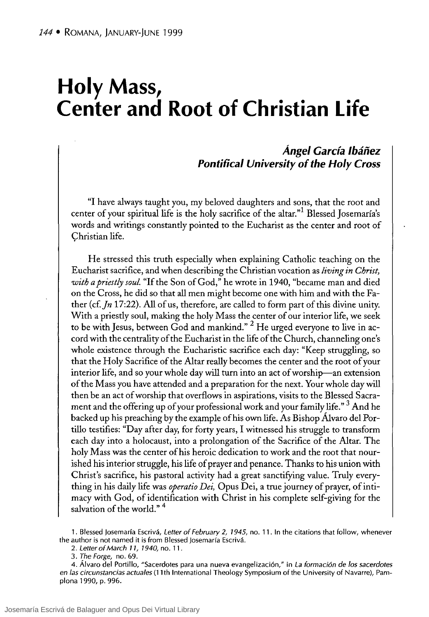# **Holy Mass, Center and Root of Christian Life**

# **Ángel Carcía Ibáñez Pontifical University of the Holy Cross**

"1 have always taught you, my beloved daughters and sons, that the root and center of your spiritual life is the holy sacrifice of the altar."<sup>1</sup> Blessed Josemaría's words and writings constantly pointed to the Eucharist as the center and root of Christian life.

He stressed this truth especially when explaining Catholic teaching on the Eucharist sacrifice, and when describing the Christian vocation as *living in Christ, with a priestly soul* "If the Son of Cod," he wrote in 1940, "became man and died on the Cross, he did so that all men might become one with him and with the Father (cf.  $In 17:22$ ). All of us, therefore, are called to form part of this divine unity. With a priestly soul, making the holy Mass the center of our interior life, we seek to be with Jesus, between God and mankind." <sup>2</sup> He urged everyone to live in accord with the centrality of the Eucharist in the life of the Church, channeling one's whole existence through the Eucharistic sacrifice each day: "Keep struggling, so that the Holy Sacrifice of the Altar really becomes the center and the root of your interior life, and so your whole day will turn into an act of worship-an extension of the Mass you have attended and a preparation for the next. Your whole day will then be an act of worship that overflows in aspirations, visits to the Blessed Sacrament and the offering up of your professional work and your family life."<sup>3</sup> And he backed up his preaching by the example ofhis own life. As Bishop Álvaro del Portillo testifies: "Day after day, for forty years, 1 witnessed his struggle to transform each day into a holocaust, into a prolongation of the Sacrifice of the Altar. The holy Mass was the center of his heroic dedication to work and the root that nourished his interior struggle, his life of prayer and penance. Thanks to his union with Christ's sacrifice, his pastoral activity had a great sanctifying value. Truly everything in his daily life was *operatio Dei,* Opus Dei, a true journey of prayer, of intimacy with Cod, of identification with Christ in his complete self-giving for the salvation of the world."<sup>4</sup>

1. Blessed Josemaría Escrivá, Letter of February 2, 1945, no. 11. In the citations that follow, whenever the author is not named it is from Blessed Josemaría Escrivá.

2. Letter of March 11, 1940, no. 11.

4. Álvaro del Portillo, "Sacerdotes para una nueva evangelización," in La formación de los sacerdotes en las circunstancias actuales (11th International Theology Symposium of the University of Navarre), Pamplona 1990, p. 996.

<sup>3.</sup> The Forge, no. 69.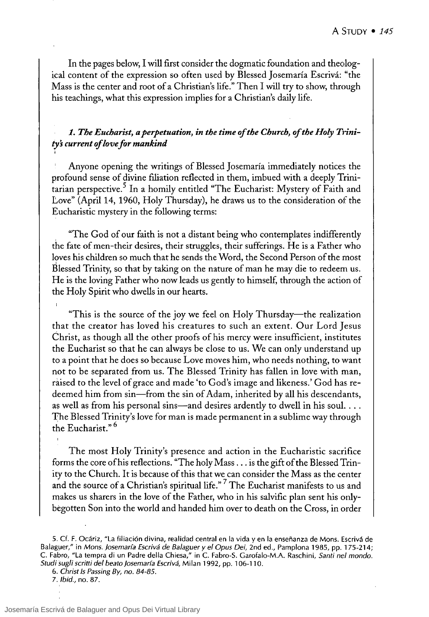In the pages below, I will first consider the dogmatic foundation and theological content of the expression so often used by Blessed ]osemaría Escrivá: "the Mass is the center and root of a Christian's life." Then 1 will try to show, through his teachings, what this expression implies for a Christian's daily life.

# 1. The Eucharist, a perpetuation, in the time of the Church, of the Holy Trini*tys current oflove for mankind* ,

Anyone opening the writings of Blessed Josemaría immediately notices the profound sense of divine filiation reflected in them, imbued with a deeply Trinitarian perspective.<sup>5</sup> In a homily entitled "The Eucharist: Mystery of Faith and Love" (April 14, 1960, Holy Thursday), he draws us to the consideration of the Eucharistic mystery in the following terms:

"The God of our faith is not a distant being who contemplates indifferently the fate of men-their desires, their struggles, their sufferings. He is a Father who loves his children so much that he sends the Word, the Second Person of the most Blessed Trinity, so that by taking on the nature of man he may die to redeem us. He is the loving Father who now leads us gently to himself, through the action of the Holy Spirit who dwells in our hearts.

"This is the source of the joy we feel on Holy Thursday-the realization that the creator has loved his creatures to such an extent. Our Lord ]esus Christ, as though all the other proofs of his merey were insufficient, institutes the Eucharist so that he can always be close to us. We can only understand up to a point that he does so because Love moves him, who needs nothing, to want not to be separated from us. The Blessed Trinity has fallen in love with man, raised to the level of grace and made 'to God's image and likeness.' God has redeemed him from sin-from the sin of Adam, inherited by all his descendants, as well as from his personal sins—and desires ardently to dwell in his soul. . . . 'fhe Blessed Trinity's love for man is made permanent in a sublime way through the Eucharist." 6

The most Holy Trinity's presence and action in the Eucharistic sacrifice forms the core ofhis reflections. "The holy Mass ... is the gift of the Blessed Trinity to the Church. It is because of this that we can consider the Mass as the center and the source of a Christian's spiritual life."<sup>7</sup> The Eucharist manifests to us and makes us sharers in the love of the Father, who in his salvific plan sent his onlybegotten Son into the world and handed him over to death on the Cross, in order

*7. Ibid.,* no. 87.

<sup>5.</sup> Cf. F. Ocáriz, "La filiación divina, realidad central en la vida y en la enseñanza de Mons. Escrivá de Balaguer," in *Mons. josemaría Escrivá de Balaguer y el Opus Dei,* 2nd ed., Pamplona 1985, pp. 175-214; C. Fabro, "La tempra di un Padre della Chiesa," in C. Fabro-S. Garofalo-M.A. Raschini, *Santi nel mondo. Studi sugli scritti del beato josemaría Escrivá,* Mi lan 1992, pp. 106-110.

*<sup>6.</sup> Christ* 15 *Passing By, no. 84-85.*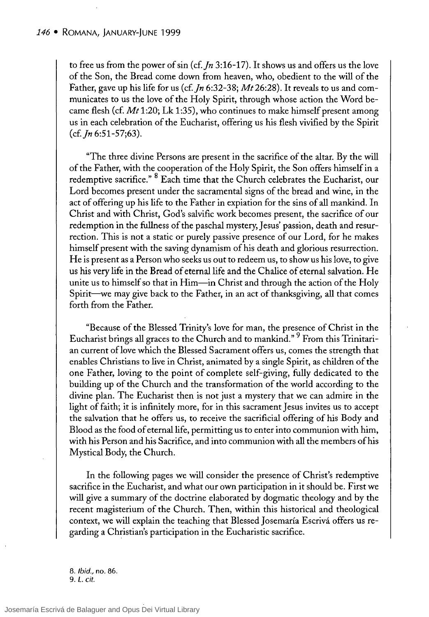to free us from the power of sin (cf. In 3:16-17). It shows us and offers us the love of the Son, the Bread come down from heaven, who, obedient to the will of the Father, gave up his life for us (cf. *Jn* 6:32-38; *Mt* 26:28). It reveals to us and communicates to us the love of the Holy Spirit, through whose action the Word becarne flesh (cf. *Mt* 1:20; Lk 1:35), who continues to make himself present among us in each celebration of the Eucharist, offering us his flesh vivified by the Spirit (cf.Jn *6:51-57;63).* 

"The three divine Persons are present in the sacrifice of the altar. By the will of the Father, with the cooperation of the Holy Spirit, the Son offers himself in a redemptive sacrifice." 8 Each time that the Church celebrates the Eucharist, our Lord becomes present under the sacramental signs of the bread and wine, in the act of offering up his life to the Father in expiation for the sins of all mankind. In Christ and with Christ, God's salvific work becomes present, the sacrifice of our redemption in the fullness of the paschal mystery, Jesus' passion, death and resurrection. This is not a static or purely passive presence of our Lord, for he makes himself present with the saving dynamism of his death and glorious resurrection. He is present as a Person who seeks us out to redeem us, to show us his love, to give us his very life in the Bread of eternal life and the Chalice of eternal salvation. He unite us to himself so that in Him—in Christ and through the action of the Holy Spirit-we may give back to the Father, in an act of thanksgiving, all that comes forth from the Father.

"Because of the Blessed Trinity's love for man, the presence of Christ in the Eucharist brings all graces to the Church and to mankind." 9 From this Trinitarian current oflove which the Blessed Sacrament offers us, comes the strength that enables Christians to live in Christ, animated by a single Spirit, as children of the one Father, loving to the point of complete self-giving, fully dedicated to the building up of the Church and the transformation of the world according to the divine plan. The Eucharist then is not just a mystery that we can admire in the light of faith; it is infinitely more, for in this sacrament ]esus invites us to accept the salvation that he offers us, to receive the sacrificial offering of his Body and Blood as the food of eternal life, permitting us to enter into communion with him, with his Person and his Sacrifice, and into communion with all the members of his Mystical Body, the Church.

In the following pages we will consider the presence of Christ's redemptive sacrifice in the Eucharist, and what our own participation in it should be. First we will give a summary of the doctrine elaborated by dogmatic theology and by the recent magisterium of the Church. Then, within this historical and theological context, we will explain the teaching that Blessed ]osemaría Escrivá offers us regarding a Christian's participation in the Eucharistic sacrifice.

*8. ¡bid.,* no. 86. 9. L. *cit.*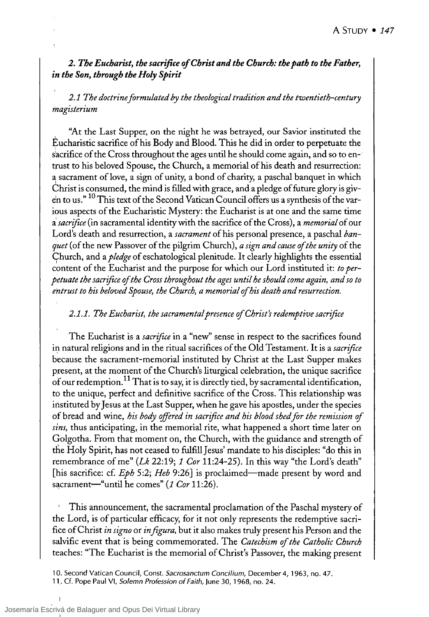# *2. The Eucharist, the sacrifice ofChrist and the Church: the path to the Father, in the Son, through the Holy Spirit*

*2.1 The doctrine formulated by the theological tradition and the twentieth-century magisterium* 

"At the Last Supper, on the night he was betrayed, our Savior instituted the Eucharistic sacrifice ofhis Body and Blood. This he did in order to perpetuate the sacrifice of the Cross throughout the ages until he should come again, and so to  $en$ trust to his beloved Spouse, the Church, a memorial ofhis death and resurrection: a sacrament of love, a sign of unity, a bond of charity, a paschal banquet in which Christ is consumed, the mind is ftlled with grace, and a pledge of future glory is given to us." <sup>10</sup> This text of the Second Vatican Council offers us a synthesis of the various aspects of the Eucharistic Mystery: the Eucharist is at one and the same time a *sacrijice* (in sacramental identitywith the sacrifice of the Cross), a *memorial* of our Lord's death and resurrection, a *sacrament* of his personal presence, a paschal *banquet* (of the new Passover of the pilgrim Church), *a sign and cause ofthe unity* of the Church, and a *pledge* of eschatological plenitude. It clearly highlights the essential content of the Eucharist and the purpose for which our Lord instituted it: *to perpetuate the sacrijice ofthe Cross throughout the ages until he should come again, and so to*  entrust to his beloved Spouse, the Church, a memorial of his death and resurrection.

# *2.1.1. The Eucharist, the sacramental presence ofChrist's redemptive sacrijice*

The Eucharist is a *sacrijice* in a "new" sense in respect to the sacrifices found in natural religions and in the ritual sacrifices of the Old Testament. It is a *sacrifice* because the sacrament-memorial instituted by Christ at the Last Supper makes present, at the moment of the Church's liturgical celebration, the unique sacrifice of our redemption.<sup>11</sup> That is to say, it is directly tied, by sacramental identification, to the unique, perfect and definitive sacrifice of the Cross. This relationship was iristituted by Jesus at the Last Supper, when he gave his apostles, under the species of bread and wine, *his body offered in sacrijice and his blood shed for the remission of sins,* thus anticipating, in the memorial rite, what happened a short time later on Golgotha. From that moment on, the Church, with the guidance and strength of the Holy Spirit, has not ceased to fulftllJesus' mandate to his disciples: "do this in remembrance of me" *(Lk* 22:19; 1 *Cor* 11:24-25). In this way"the Lord's death" [his sacrifice: cf. *Eph 5:2; Heb 9:26*] is proclaimed—made present by word and sacrament-"until he comes" (1 *Cor* 11:26).

This announcement, the sacramental proclamation of the Paschal mystery of the Lord, is of particular efficacy, for it not only represents the redemptive sacrifice of Christ *in signo* or *in figura,* but it also makes truly present his Person and the salvific event that is being commemorated. The *Catechism of the Catholic Church*  teaches: "The Eucharist is the memorial of Christ's Passover, the making present

<sup>10.</sup> Second Vatican Council, Const. Sacrosanctum Concilium, December 4, 1963, no. 47.

<sup>11.</sup> Cf. Pope Paul VI, Solemn Profession of Faith, June 30, 1968, no. 24.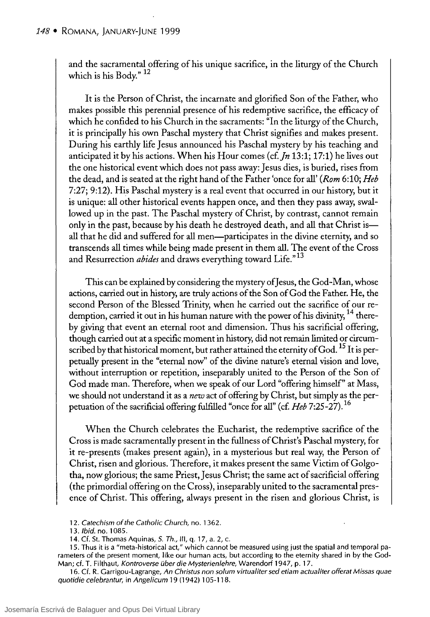and the sacramental offering of his unique sacrifice, in the liturgy of the Church which is his Body."<sup>12</sup>

It is the Person of Christ, the incarnate and glorified Son of the Father, who makes possible this perennial presence of his redemptive sacrifice, the efficacy of which he confided to his Church in the sacraments: "In the liturgy of the Church, it is principally his own Paschal mystery that Christ signifies and makes present. During his earthly life Jesus announced his Paschal mystery by his teaching and anticipated it by his actions. When his Hour comes (cf.  $In 13:1; 17:1$ ) he lives out the one historical event which does not pass away: Jesus dies, is buried, rises from the dead, and is seated at the right hand of the Father 'once for all' *(Rom* 6:10; *Heb*  7:27; 9:12). His Paschal mystery is a real event that occurred in our history, but it is unique: all other historical events happen once, and then they pass away, swallowed up in the past. The Paschal mystery of Christ, by contrast, cannot remain only in the past, because by his death he destroyed death, and all that Christ isall that he did and suffered for all men-participates in the divine eternity, and so transcends all times while being made present in them all. The event of the Cross and Resurrection *abídes* and draws everything toward Life." 13

This can be explained by considering the mystery of Jesus, the God-Man, whose actions, carried out in history, are truly actions of the Son ofGod the Father. He, the second Person of the Blessed Trinity, when he carried out the sacrifice of our redemption, carried it out in his human nature with the power of his divinity, <sup>14</sup> thereby giving that event an eternal root and dimension. Thus his sacrificial offering, though carried out at a specific moment in history, did not remain limited or circumscribed by that historical moment, but rather attained the eternity of God.  $^{15}$  It is perpetually present in the "eternal now" of the divine nature's eternal vision and love, without interruption or repetition, inseparably united to the Person of the Son of God made man. Therefore, when we speak of our Lord "offering himself" at Mass, we should not understand it as a *new* act of offering by Christ, but simply as the perpetuation of the sacrificial offering fulfilled "once for all" (cf. *Heb 7:25-27).16* 

When the Church celebrates the Eucharist, the redemptive sacrifice of the Cross is made sacramentally present in the fullness ofChrist's Paschal mystery, for it re-presents (makes present again), in a mysterious but real way, the Person of Christ, risen and glorious. Therefore, it makes present the same Victim ofGolgotha, now glorious; the same Priest, Jesus Christ; the same act of sacrificial offering (the primordial offering on the Cross), inseparably united to the sacramental presence of Christ. This offering, always present in the risen and glorious Christ, is

16. Cf. R. Garrigou-Lagrange, An Christus non solum virtualiter sed etiam actualiter offerat Missas quae quotidie celebrantur, in Angelicum 19 (1942) 105-118.

<sup>12.</sup> Catechism of the Catholic Church, no. 1362.

<sup>13.</sup> Ibid. no. 1085.

<sup>14.</sup> Cf. St. Thomas Aquinas, *S. Th.,* 111, q. 17, a. 2, c.

<sup>15.</sup> Thus it is a "meta-historical act," which cannot be measured using just the spatial and temporal parameters of the present moment, like our human acts, but according to the eternity shared in by the God-Man; cf. T. Filthaut, Kontroverse über die Mysterienlehre, Warendorf 1947, p. 17.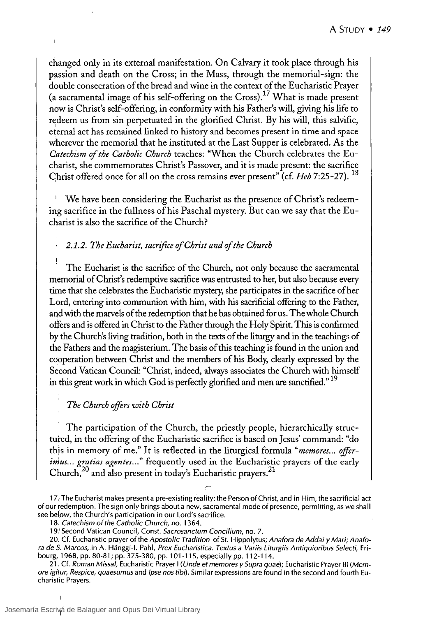changed only in its external manifestation. On Calvary it took place through his passion and death on the Cross; in the Mass, through the memorial-sign: the double consecration of the bread and wine in the context of the Eucharistic Prayer (a sacramental image of his self-offering on the Cross).<sup>17</sup> What is made present now is Christ's self-offering, in conformity with his Father's will, giving his life to redeem us from sin perpetuated in the glorified Christ. By his will, this salvific, eternal act has remained linked to history and becomes present in time and space wherever the memorial that he instituted at the Last Supper is celebrated. As the *Catechism of the Catholic Church* teaches: "When the Church celebrates the Eucharist, she commemorates Christ's Passover, and it is made present: the sacrifice Christ offered once for all on the cross remains ever present" (cf. *Heb* 7:25-27). <sup>18</sup>

We have been considering the Eucharist as the presence of Christ's redeeming sacrifice in the fullness of his Paschal mystery. But can we say that the Eucharist is also the sacrifice of the Church?

#### *2.1.2. The Eucharist, sacrijice ofChrist and ofthe Church*

The Eucharist is the sacrifice of the Church, not only because the sacramental m'emorial ofChrist's redemptive sacrifice was entrusted to her, but also because every time that she celebrates the Eucharistic mystery, she participates in the sacrifice of her Lord, entering into communion with him, with his sacrificial offering to the Father, and with the marvels of the redemption that he has obtained for us. The whole Church offers and is offered in Christ to the Father through the Holy Spirit. This is confirmed by the Church's living tradition, both in the texts of the liturgy and in the teachings of the Fathers and the magisterium. The basis of this teaching is found in the union and cooperation between Christ and the members of his Body, clearly expressed by the Second Vatican Council: "Christ, indeed, always associates the Church with himself in this great work in which God is perfectly glorified and men are sanctified."<sup>19</sup>

### *The Church offirs with Christ*

The participation of the Church, the priestly people, hierarchically structured, in the offering of the Eucharistic sacrifice is based on Jesus' command: "do this in memory of me." It is reflected in the liturgical formula "memores... offerimus... gratias agentes..." frequently used in the Eucharistic prayers of the early Church,<sup>20</sup> and also present in today's Eucharistic prayers.<sup>21</sup>

<sup>17,</sup> The Eucharist makes present a pre-existing reality: the Person of Christ, and in Him, the sacrificial act of our redemption. The sign only brings about a new, sacramental mode of presence, permitting, as we shall see below, the Church's participation in our Lord's sacrifice.

<sup>18.</sup> Catechism of the Catholic Church, no. 1364.

<sup>19.&#</sup>x27; Second Vatican Council, Const. Sacrosanctum Concilium, no. 7.

<sup>20.</sup> Cf. Eucharistic prayer of the Apostolic Tradition of SI. Hippolytus; Anafora de Addai *y* Mari; Anafora de S. Marcos, in A. Hänggi-I. Pahl, Prex Eucharistica. Textus a Variis Liturgiis Antiquioribus Selecti, Fribourg, 1968, pp. 80-81; pp. 375-380, pp. 101-115, especially pp. 112-114.

<sup>21.</sup> Cf. Roman Missal, Eucharistic Prayer I (Unde et memores *y* Supra quae); Eucharistic Prayer 111 (Memore igitur, Respice, quaesumus and Ipse nos tibi). Similar expressions are found in the second and fourth Eucharistic Prayers.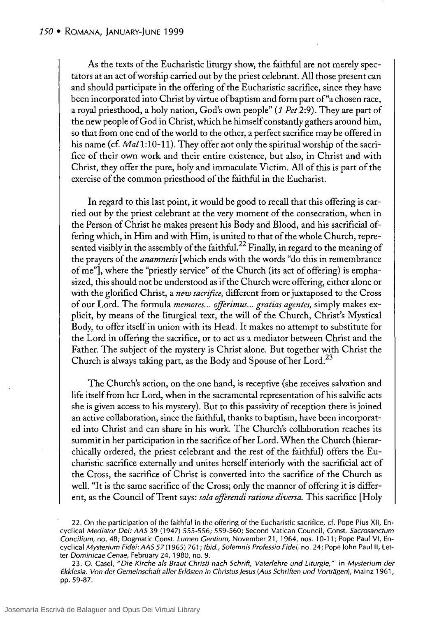As the texts of the Eucharistic liturgy show, the faithful are not merely spectators at an act of worship carried out by the priest celebrant. All those present can and should participate in the offering of the Eucharistic sacrifice, since they have been incorporated into Christ by virtue of baptism and form part of "a chosen race, a royal priesthood, a holy nation, God's own people" (1 *Pet* 2:9). They are part of the new people of God in Christ, which he himself constandy gathers around him, so that from one end of the world to the other, a perfect sacrifice may be offered in his name (cf. *Mal* 1:10-11). They offer not only the spiritual worship of the sacrifice of their own work and their entire existence, but also, in Christ and with Christ, they offer the pure, holy and immaculate Victim. All of this is part of the exercise of the common priesthood of the faithful in the Eucharist.

In regard to this last point, it would be good to recall that this offering is carried out by the priest celebrant at the very moment of the consecration, when in the Person of Christ he makes present his Body and Blood, and his sacriftcial offering which, in Him and with Him, is united to that of the whole Church, represented visibly in the assembly of the faithful.<sup>22</sup> Finally, in regard to the meaning of the prayers of the *anamnesis* [which ends with the words "do this in remembrance of me"], where the "priestly service" of the Church (its act of offering) is emphasized, this should not be understood as if the Church were offering, either alone or with the glorified Christ, a *new sacrijice,* different from or juxtaposed to the Cross of our Lord. The formula *memores ... offerimus ... gratias agentes,* simply makes explicit, by means of the liturgical text, the will of the Church, Christ's Mystical Body, to offer itself in union with its Head. It makes no attempt to substitute for the Lord in offering the sacrifice, or to act as a mediator between Christ and the Father. The subject of the mystery is Christ alone. But together with Christ the Church is always taking part, as the Body and Spouse of her Lord.<sup>23</sup>

The Church's action, on the one hand, is receptive (she receives salvation and life itself from her Lord, when in the sacramental representation of his salvific acts she is given access to his mystery). But to this passivity of reception there is joined an active collaboration, since the faithful, thanks to baptism, have been incorporated into Christ and can share in his work. The Church's collaboration reaches its summit in her participation in the sacrifice of her Lord. When the Church (hierarchically ordered, the priest celebrant and the rest of the faithful) offers the Eucharistic sacrifice externally and unites herself interiorly with the sacrificial act of the Cross, the sacrifice of Christ is converted into the sacrifice of the Church as well. "It is the same sacrifice of the Cross; only the manner of offering it is different, as the Council of Trent says: *sola offerendi ratione diversa*. This sacrifice [Holy

<sup>22.</sup> On the participation of the faithful in the offering of the Eucharistic sacrifice, cf. Pope Pius XII, Encyclical Mediator Dei: AAS 39 (1947) 555-556; 559-560; Second Vatican Council, Const. Sacrosanctum Concilium, no. 48; Dogmatic Const. Lumen Gentium, November 21, 1964, nos. 10-11; Pope Paul VI, Encyclical Mysterium Fidei: AAS 57(1965) 761; Ibid., Solemnis Professio Fidei, no. 24; Pope John Paul II, Letter Dominicae Cenae, February 24,1980, no. 9.

<sup>23.</sup> O. Casel, "Die Kirche als Braut Christi nach Schrift, Vaterlehre und Liturgie," in Mysterium der Ekklesia. Von der Gemeinschaft aller Erlösten in Christus Jesus (Aus Schriften und Vorträgen), Mainz 1961, pp. 59-87.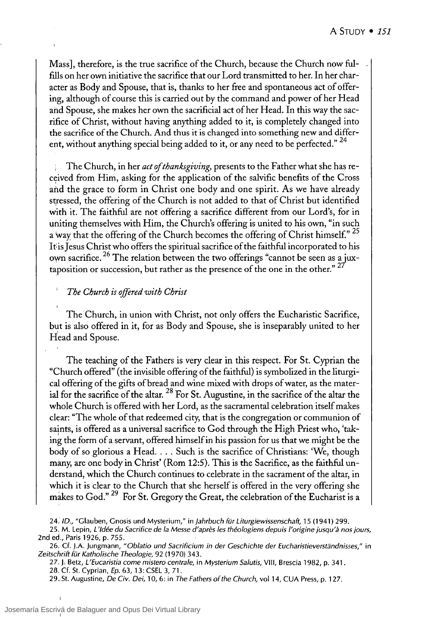Mass], therefore, is the true sacrifice of the Church, because the Church now fulfills on her own initiative the sacrifice that our Lord transmitted to her. In her character as Body and Spouse, that is, thanks to her free and spontaneous act of offering, although of course this is carried out by the command and power ofher Head and Spouse, she makes her own the sacrificial act of her Head. In this way the sacrifice of Christ, without having anything added to it, is completely changed into the sacrifice of the Church. And thus it is changed into something new and different, without anything special being added to it, or any need to be perfected."  $24$ 

The Church, in her *act of thanksgiving*, presents to the Father what she has received from Him, asking for the application of the salvific benefits of the Cross and the grace to form in Christ one body and one spirit. As we have already stressed, the offering of the Church is not added to that of Christ but identified with it. The faithful are not offering a sacrifice different from our Lord's, for in uniting themselves with Him, the Church's offering is united to his own, "in such a way that the offering of the Church becomes the offering of Christ himself." <sup>25</sup> It is Jesus Christ who offers the spiritual sacrifice of the faithful incorporated to his own sacrifice.  $26$  The relation between the two offerings "cannot be seen as a juxtaposition or succession, but rather as the presence of the one in the other."  $27$ 

#### *The Church is o.ffered with Christ*

The Church, in union with Christ, not only offers the Eucharistic Sacrifice, but is also offered in it, for as Body and Spouse, she is inseparably united to her Head and Spouse.

The teaching of the Fathers is very clear in this respect. For St. Cyprian the "Church offered" (the invisible offering of the faithful) is symbolized in the liturgical offering of the gifts of bread and wine mixed with drops of water, as the material for the sacrifice of the altar.  $^{28}$  For St. Augustine, in the sacrifice of the altar the whole Church is offered with her Lord, as the sacramental celebration itself makes clear: "The whole of that redeemed city, that is the congregation or communion of saints, is offered as a universal sacrifice to God through the High Priest who, 'taking the form of a servant, offered himself in his passion for us that we might be the body of so glorious a Head. . . . Such is the sacrifice of Christians: 'We, though many, are one body in Christ' (Rom 12:5). This is the Sacrifice, as the faithful understand, which the Church continues to celebrate in the sacrament of the altar, in which it is clear to the Church that she herself is offered in the very offering she makes to God." <sup>29</sup> For St. Gregory the Great, the celebration of the Eucharist is a

24: ID., "Glauben, Gnosis und Mysterium," in Jahrbuch für Liturgiewissenschaft, 15 (1941) 299.

25. M. Lepin, L'Idée du Sacrifice de la Messe d'après les théologiens depuis l'origine jusqu'à nos jours, 2nd ed., Paris 1926, p. 755.

26. Cf. j.A. jungmann, "Oblatio und Sacrificium in der Ceschichte der Eucharistieverstandnisses," in Zeitschrift für Katholische Theologie, 92 (1970) 343.

27. j. Betz, L'Eucaristia come mistero centrale, in Mysterium Salutis, VIII, Brescia 1982, p. 341.

28. Cf. St. Cyprian, Ep. 63, 13: CSEL 3, 71.

29. St. Augustine, De Civ. Dei, 10, 6: in The Fathers of the Church, vol 14, CUA Press, p. 127.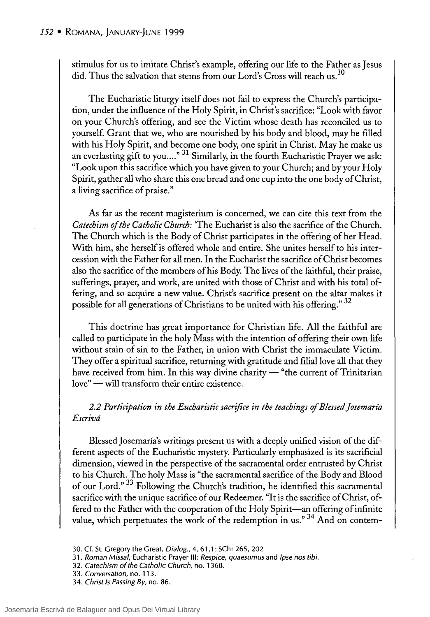stimulus for us to imitate Christ's example, offering our life to the Father as Jesus did. Thus the salvation that stems from our Lord's  $\overline{C}$ ross will reach us.<sup>30</sup>

The Eucharistic liturgy itself does not fail to express the Church's participation, under the influence of the Holy Spirit, in Christ's sacrifice: "Look with favor on your Church's offering, and see the Victim whose death has reconciled us to yourself. Grant that we, who are nourished by his body and blood, may be filled with his Holy Spirit, and become one body, one spirit in Christ. May he make us an everlasting gift to you...."  $31$  Similarly, in the fourth Eucharistic Prayer we ask: "Look upon this sacrifice which you have given to your Church; and by your Holy Spirit, gather all who share this one bread and one cup into the one body of Christ, a living sacrifice of praise."

As far as the recent magisterium is concerned, we can cite this text from the *Catechism of the Catholic Church*: "The Eucharist is also the sacrifice of the Church. The Church which is the Body of Christ participates in the offering of her Head. With him, she herself is offered whole and entire. She unites herself to his intercession with the Father for all men. In the Eucharist the sacrifice of Christ becomes also the sacrifice of the members of his Body. The lives of the faithful, their praise, sufferings, prayer, and work, are united with those of Christ and with his total offering, and so acquire a new value. Christ's sacrifice present on the altar makes it possible for all generations of Christians to be united with his offering." 32

This doctrine has great importance for Christian life. AH the faithful are called to participate in the holy Mass with the intention of offering their own life without stain of sin to the Father, in union with Christ the immaculate Victim. They offer a spiritual sacrifice, returning with gratitude and filial love all that they have received from him. In this way divine charity  $-$  "the current of Trinitarian love" — will transform their entire existence.

2.2 Participation in the Eucharistic sacrifice in the teachings of Blessed Josemaría *Escrivá* 

Blessed Josemaría's writings present us with a deeply unified vision of the different aspects of the Eucharistic mystery. Particularly emphasized is its sacrificial dimension, viewed in the perspective of the sacramental order entrusted by Christ to his Church. The holy Mass is "the sacramental sacrifice of the Body and Blood of our Lord." <sup>33</sup> Following the Church's tradition, he identified this sacramental sacrifice with the unique sacrifice of our Redeemer. "It is the sacrifice of Christ, offered to the Father with the cooperation of the Holy Spirit-an offering of infinite value, which perpetuates the work of the redemption in us." 34 And on contem-

- 31. Roman Missal, Eucharistic Prayer III: Respice, quaesumus and Ipse nos tibi.
- 32. Catechism of the Catholic Church, no. 1368.
- 33. Conversation, no. 113.
- 34. Christ 15 Passing By, no. 86.

<sup>30.</sup> Cf. 51. Gregory the Great, Dia/og., 4, 61,1: 5Chr 265,202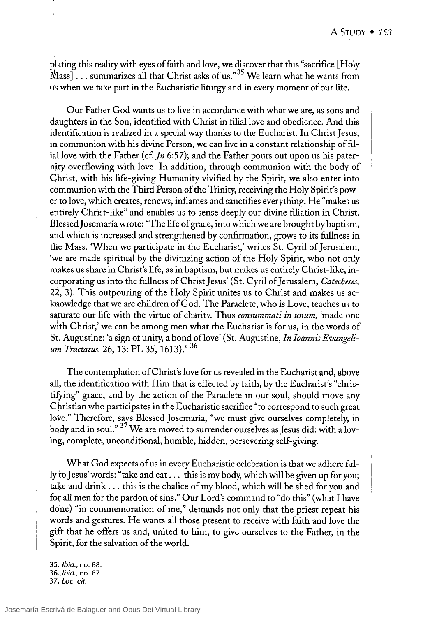plating this reality with eyes of faith and love, we discover that this "sacrifice [Holy  $x_1 + y_2 + z_3$  ... summarizes all that Christ asks of us.<sup>35</sup> We learn what he wants from us when we take part in the Eucharistic liturgy and in every moment of our life.

Our Father God wants us to live in accordance with what we are, as sons and daughters in the Son, identified with Christ in filiallove and obedience. And this identification is realized in a special way thanks to the Eucharist. In Christ Jesus, in communion with his divine Person, we can live in a constant relationship of filial love with the Father *(cf. In 6:57)*; and the Father pours out upon us his paternity overflowing with love. In addition, through communion with the body of Christ, with his life-giving Humanity vivified by the Spirit, we also enter into communion with the Third Person of the Trinity, receiving the Holy Spirit's power to love, which creates, renews, inflames and sanctifies everything. He "makes us entirely Christ-like" and enables us to sense deeply our divine filiation in Christ. Blessed Josemaría wrote: "The life of grace, into which we are brought by baptism, and which is increased and strengthened by confirmation, grows to its fullness in the Mass. 'When we participate in the Eucharist,' writes St. Cyril of Jerusalem, 'we are made spiritual by the divinizing action of the Holy Spirit, who not only makes us share in Christ's life, as in baptism, but makes us entirely Christ-like, incorporating us into the fullness of Christ Jesus' (St. Cyril of Jerusalem, *Catecheses*, 22, 3). This outpouring of the Holy Spirit unites us to Christ and makes us acknowledge that we are children of God. The Paraclete, who is Love, teaches us to saturate our life with the virtue of charity. Thus *consummati in unum,* 'made one with Christ,' we can be among men what the Eucharist is for us, in the words of St. Augustine: 'a sign of unity, a bond of love' (St. Augustine, *In Ioannis Evangelium Tractatus,* 26, 13: PL 35, 1613)." 36

The contemplation of Christ's love for us revealed in the Eucharist and, above all, the identification with Him that is effected by faith, by the Eucharist's "christifying" grace, and by the action of the Paraclete in our soul, should move any Christian who participates in the Eucharistic sacrifice "to correspond to such great love." Therefore, says Blessed Josemaría, "we must give ourselves completely, in body and in soul."  $37$  We are moved to surrender ourselves as Jesus did: with a loving, complete, unconditional, humble, hidden, persevering self-giving.

What God expects of us in every Eucharistic celebration is that we adhere fully to Jesus' words: "take and eat ... this is my body, which will be given up for you; take and drink ... this is the chalice of my blood, which will be shed for you and for all men for the pardon of sins." Our Lord's command to "do this" (what I have done) "in commemoration of me," demands not only that the priest repeat his wórds and gestures. He wants all those present to receive with faith and love the gift that he offers us and, united to him, to give ourselves to the Father, in the Spirit, for the salvation of the world.

35. Ibid., no. 88. 36. Ibid., no. 87. 37. Loc. *cit.*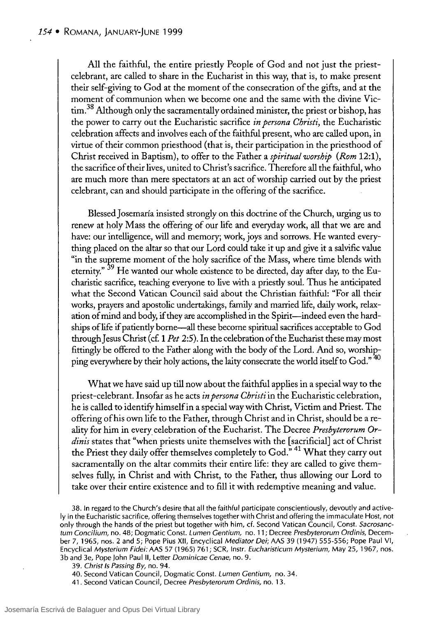All the faithful, the entire priestly People of God and not just the priestcelebrant, are called to share in the Eucharist in this way, that is, to make present their self-giving to God at the moment of the consecration of the gifts, and at the moment of communion when we become one and the same with the divine Victim.<sup>38</sup> Although only the sacramentally ordained minister, the priest or bishop, has the power to carry out the Eucharistic sacrifice *in persona Christi,* the Eucharistic celebration affects and involves each of the faithful present, who are called upon, in virtue of their common priesthood (that is, their participation in the priesthood of Christ received in Baptism), to offer to the Father a *spiritual worship (Rom 12:1),*  the sacrifice of their lives, united to Christ's sacrifice. Therefore all the faithful, who are much more than mere spectators at an act of worship carried out by the priest celebrant, can and should participate in the offering of the sacrifice.

Blessed Josemaría insisted strongly on this doctrine of the Church, urging us to renew at holy Mass the offering of our life and everyday work, all that we are and have: our intelligence, will and memory; work, joys and sorrows. He wanted everything placed on the altar so that our Lord could take it up and give it a salvific value "in the supreme moment of the holy sacrifice of the Mass, where time blends with eternity." <sup>39</sup> He wanted our whole existence to be directed, day after day, to the Eucharistic sacrifice, teaching everyone to live with a priestly soul. Thus he anticipated what the Second Vatican Council said about the Christian faithful: "For all their works, prayers and apostolic undertakings, farnily and married life, daily work, relaxation of mind and body, if they are accomplished in the Spirit-indeed even the hardships of life if patiently borne—all these become spiritual sacrifices acceptable to God through Jesus Christ (cf. 1 *Pet* 2:5). In the celebration of the Eucharist these may most fittingly be offered to the Father along with the body of the Lord. And so, worshipping everywhere by their holy actions, the laity consecrate the world itself to God."<sup>40</sup>

What we have said up till now about the faithful applies in a special way to the priest-celebrant. Insofar as he acts *in persona Christi* in the Eucharistic celebration, he is called to identifY himself in a special way with Christ, Victim and Priest. The offering ofhis own life to the Father, through Christ and in Christ, should be a reality for him in every. celebration of the Eucharist. The Decree *Presbyterorum Or*dinis states that "when priests unite themselves with the [sacrificial] act of Christ the Priest they daily offer themselves completely to God."<sup>41</sup> What they carry out sacramentally on the altar commits their entire life: they are called to give themselves fully, in Christ and with Christ, to the Father, thus allowing our Lord to take over their entire existence and to fill it with redemptive meaning and value.

38. In regard to the Church's desire that all the faithful participate conscientiously, devoutly and active-Iy in the Eucharistic sacrifice, offering themselves together with Christ and offering the immaculate Host, not only through the hands of the priest but together with him, cf. Second Vatican Council, Const. *Sacrosanctum Concilium,* no. 48; Dogmatic Const. *Lumen Centium,* no. 11; Decree *Presbyterorum Ordinis,* December 7, 1965, nos. 2 and 5; Pope Pius XII, Encyclical *Mediator Dei;* AAS 39 (1947) 555-556; Pope Paul VI, Encyclical *Mysterium Fidei:* AAS 57 (1965) 761; SCR, Instr. *Eucharisticum Mysterium,* May 25, 1967, nos. 3b and 3e, Pope John Paulll, Letter *Dominicae Cenae,* no. 9.

*39. Christ Is Passing By,* no. 94.

40. Second Vatican Council, Dogmatic Const. *Lumen Centium,* no. 34.

41. Second Vatican Council, Decree *Presbyterorum Ordinis,* no. 13.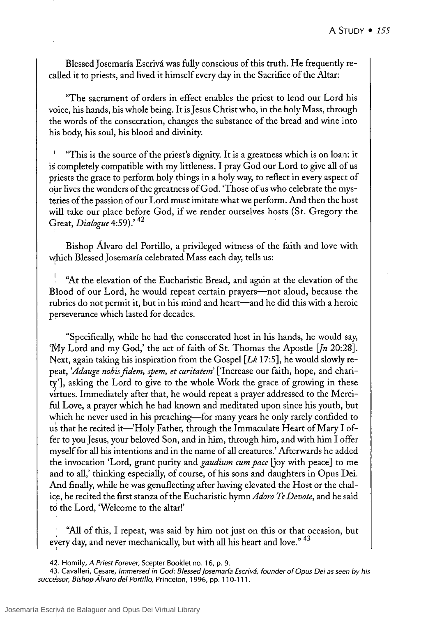Blessed Josemaría Escrivá was fully conscious of this truth. He frequently recalled it to priests, and lived it himself every day in the Sacrifice of the Altar:

"The sacrament of orders in effect enables the priest to lend our Lord his voice, his hands, his whole being. It is Jesus Christ who, in the holy Mass, through the words of the consecration, changes the substance of the bread and wine into his body, his soul, his blood and divinity.

"This is the source of the priest's dignity. lt is a greatness which is on loan: it is completely compatible with my litdeness. 1 pray God our Lord to give all of us priests the grace to perform holy things in a holy way, to reflect in every aspect of our lives the wonders of the greatness of God. 'Those of us who celebrate the mysteries of the passion of our Lord must imitate what we perform. And then the host will take our place before God, if we render ourselves hosts (St. Gregory the Great, *Dialogue* 4:59).'<sup>42</sup>

Bishop Álvaro del Portillo, a privileged witness of the faith and love with which Blessed Josemaría celebrated Mass each day, tells us:

''At the elevation of the Eucharistic Bread, and again at the elevation of the Blood of our Lord, he would repeat certain prayers—not aloud, because the rubrics do not permit it, but in his mind and heart—and he did this with a heroic perseverance which lasted for decades.

"Specifically, while he had the consecrated host in his hands, he would say, 'My Lord and my God,' the act of faith of St. Thomas the Apostle [Jn 20:28]. Next, again taking his inspiration from the Gospel *[Lk* 17:5], he would slowly repeat, *'Adauge nobis fidem, spem, et caritatem'* ['Increase our faith, hope, and charity'], asking the Lord to give to the whole Work the grace of growing in these virtues. Immediately after that, he would repeat a prayer addressed to the MercifuI Love, a prayer which he had known and meditated upon since his youth, but which he never used in his preaching—for many years he only rarely confided to us that he recited it—'Holy Father, through the Immaculate Heart of Mary I offer to you Jesus, your beloved Son, and in him, through him, and with him I offer myself for all his intentions and in the name of all creatures.' Mterwards he added the invocation 'Lord, grant purity and *gaudium cum pace* [joy with peace] to me and to all,' thinking especially, of course, of his sons and daughters in Opus Dei. And finally, while he was genuflecting after having elevated the Host or the chalice, he recited the first stanza of the Eucharistic hymn *Adoro Te Devote*, and he said tó the Lord, 'Welcome to the altar!'

''All of this, 1 repeat, was said by him not just on this or that occasion, but every day, and never mechanically, but with all his heart and love." <sup>43</sup>

43. Cavalleri, Cesare, Immersed in Cod: Blessed josemaría Escrivá, founder of Opus Dei as seen *by* his successor, Bishop Álvaro del Portillo, Princeton, 1996, pp. 110-111.

<sup>42.</sup> Homily, A Priest Forever, Scepter Booklet no. 16, p. 9.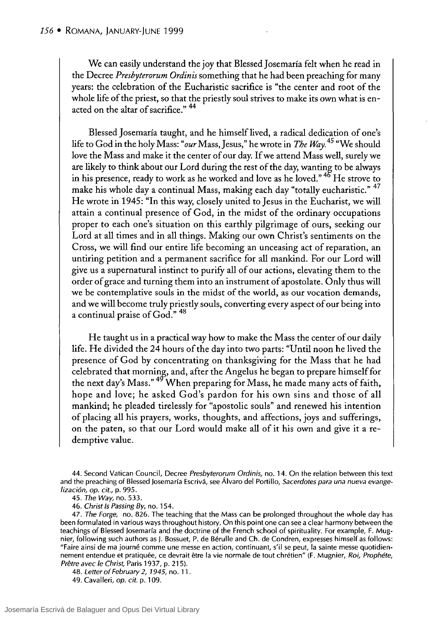We can easily understand the joy that Blessed Josemaría felt when he read in the Decree *Presbyterorum Ordinis* something that he had been preaching for many years: the celebration of the Eucharistic sacrifice is "the center and root of the whole life of the priest, so that the priestly soul strives to make its own what is enacted on the altar of sacrifice."  $44$ 

Blessed Josemaría taught, and he himself lived, a radical dedication of one's life to God in the holy Mass: *"our* Mass, Jesus," he wrote in *The Way*.<sup>45</sup> "We should love the Mass and make it the center of our day. If we attend Mass well, surely we are likely to think about our Lord during the rest of the day, wanting to be always in his presence, ready to work as he worked and love as he loved."<sup>46</sup> He strove to make his whole day a continual Mass, making each day "totally eucharistic." <sup>47</sup> He wrote in 1945: "In this way, closely united to Jesus in the Eucharist, we will attain a continual presence of God, in the midst of the ordinary occupations proper to each one's situation on this earthly pilgrimage of ours, seeking our Lord at all times and in all things. Making our own Christ's sentiments on the Cross, we will find our entire life becoming an unceasing act of reparation, an untiring petition and a permanent sacrifice for all mankind. For our Lord will give us a supernatural instinct to purify all of our actions, elevating them to the order of grace and turning them into an instrument of apostolate. Only thus will we be contemplative souls in the midst of the world, as our vocation demands, and we will become truly priestly souls, converting every aspect of our being into a continual praise of God."  $48$ 

He taught us in a practical way how to make the Mass the center of our daily life. He divided the 24 hours of the day into two parts: "Until noon he lived the presence of God by concentrating on thanksgiving for the Mass that he had celebrated that morning, and, after the Angelus he began to prepare himself for the next day's Mass."  $49^{\circ}$ When preparing for Mass, he made many acts of faith, hope and love; he asked God's pardon for his own sins and those of all mankind; he pleaded tirelessly for "apostolic souls" and renewed his intention of placing all his prayers, works, thoughts, and affections, joys and sufferings, on the paten, so that our Lord would make all of it his own and give it a redemptive value.

*48. Letter* of *February* 2, 1945, no. 11.

49. Cavalleri, *op. cit.* p. 109.

<sup>44.</sup> Second Vatican Council, Decree *Presbyterorum Ordinis,* no. 14. On the relation between this text and the preaching of Blessed Josemaría Escrivá, see Álvaro del Portillo, *Sacerdotes para una nueva evangelización, op. cit.,* p. 995.

*<sup>45.</sup> The Way,* no. 533.

<sup>46.</sup> *Christ* 15 *Passing By,* no. 154.

*<sup>47.</sup> The Forge,* no. 826. The teaching that the Mass can be prolonged throughout the whole day has been formulated in various ways throughout history. On this point one can see a clear harmony between the teachings of Blessed Josemaría and the doctrine of the French school of spirituality. For example, F. Mugnier, following such authors as J. Bossuet, P. de Bérulle and Ch. de Condren, expresses himself as follows: "Faire ainsi de ma journé comme une messe en action, continuant, s'il se peut, la sainte messe quotidiennement entendue et pratiquée, ce devrait etre la vie normale de tout chrétien" (F. Mugnier, *Roi, Prophéte, Pretre avec le Christ,* Paris 1937, p. 215).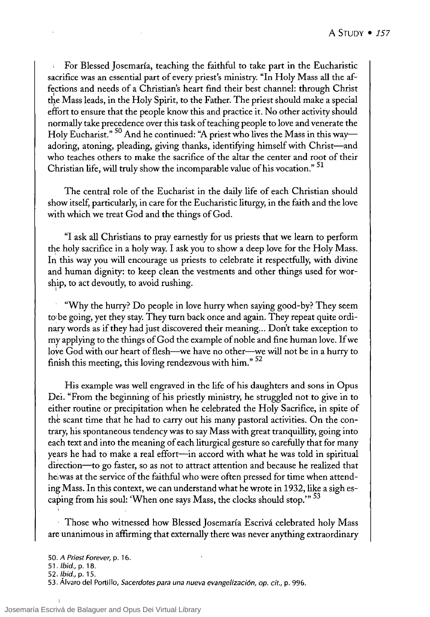For Blessed ]osemaría, teaching the faithful to take part in the Eucharistic sacrifice was an essential part of every priest's ministry. "In Holy Mass all the affections and needs of a Christian's heart find their best channel: through Christ the Mass leads, in the Holy Spirit, to the Father. The priest should make a special effort to ensure that the people know this and practice it. No other activity should normally take precedence over this task of teaching people to love and venerate the Holy Eucharist." <sup>50</sup> And he continued: "A priest who lives the Mass in this wayadoring, atoning, pleading, giving thanks, identifying himself with Christ-and who teaches others to make the sacrifice of the altar the center and root of their Christian life, will truly show the incomparable value of his vocation." <sup>51</sup>

The central role of the Eucharist in the daily life of each Christian should show itself, particularly, in care for the Eucharistic liturgy, in the faith and the love with which we treat God and the things of God.

"1 ask all Christians to pray earnestIy for us priests that we learn to perform the holy sacrifice in a holy way. I ask you to show a deep love for the Holy Mass. In this way you will encourage us priests to celebrate it respectfully, with divine and human dignity: to keep clean the vestments and other things used for worship, to act devoutly, to avoid rushing.

"Why the hurry? Do people in love hurry when saying good-by? They seem to be going, yet they stay. They turn back once and again. They repeat quite ordinary words as if they had just discovered their meaning... Don't take exception to my applying to the things ofGod the example of noble and fine human love. If we love God with our heart of flesh-we have no other-we will not be in a hurry to finish this meeting, this loving rendezvous with him." <sup>52</sup>

His example was well engraved in the life of his daughters and sons in Opus Dei. "From the beginning of his priestIy ministry, he struggled not to give in to either routine or precipitation when he celebrated the Holy Sacrifice, in spite of the scant time that he had to carry out his many pastoral activities. On the contrary, his spontaneous tendency was to say Mass with great tranquillity, going into each text and into the meaning of each liturgical gesture so carefully that for many years he had to make a real effort-in accord with what he was told in spiritual direction-to go faster, so as not to attract attention and because he realized that heiwas at the service of the faithful who were often pressed for time when attending Mass. In this context, we can understand what he wrote in 1932, like a sigh escaping from his soul: 'When one says Mass, the clocks should stop.'" <sup>53</sup>

, Those who witnessed how Blessed ]osemaría Escrivá celebrated holy Mass are unanimous in affirming that externally there was never anything extraordinary

*<sup>50.</sup> A Priest Forever,* p. 16.

*<sup>51. ¡</sup>bid.,* p. 18.

*<sup>52. ¡</sup>bid.,* p. 15.

<sup>53.</sup> Álvaro del Portillo, *Sacerdotes para una nueva evangelización, op. cit.,* p. 996.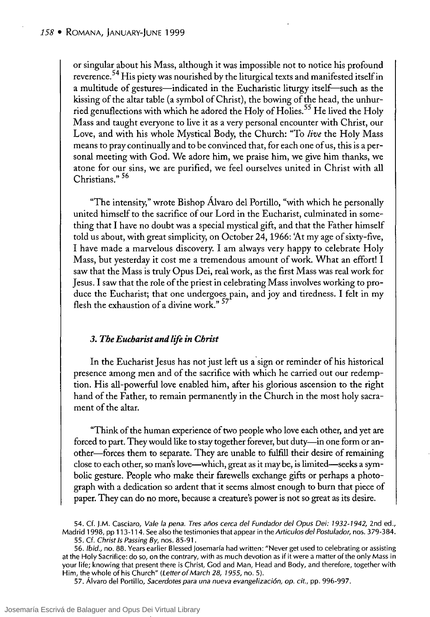or singular about his Mass, although it was impossible not to notice his profound reverence.<sup>54</sup> His piety was nourished by the liturgical texts and manifested itself in a multitude of gestures—indicated in the Eucharistic liturgy itself—such as the kissing of the altar table (a symbol ofChrist), the bowing of the head, the unhurried genuflections with which he adored the Holy of Holies.<sup>55</sup> He lived the Holy Mass and taught everyone to live it as a very personal encounter with Christ, our Love, and with his whole Mystical Body, the Church: "To *live* the Holy Mass means to pray continually and to be convinced that, for each one of us, this is a personal meeting with God. We adore him, we praise him, we give him thanks, we atone for our sins, we are purified, we feel ourselves united in Christ with all Christians." 56

"The intensity," wrote Bishop Álvaro del Portillo, "with which he personally united himself to the sacrifice of our Lord in the Eucharist, culminated in something that 1 have no doubt was a special mystical gift, and that the Father himself told us about, with great simplicity, on October 24,1966: 'At myage of sixty-five, 1 have made a marvelous discovery. 1 am always very happy to celebrate Holy Mass, but yesterday it cost me a tremendous amount of work. What an effort! 1 saw that the Mass is truly Opus Dei, real work, as the first Mass was real work for Jesus.I saw that the role of the priest in celebrating Mass involves working to produce the Eucharist; that one undergoes pain, and joy and tiredness. 1 felt in my flesh the exhaustion of a divine work."  $57$ 

### *3. The Eucharist and lije in Christ*

In the Eucharist Jesus has not just left us a 'sign or reminder of his historical presence among men and of the sacrifice with which he carried out our redemption. His all-powerful love enabled him, after his glorious ascension to the right hand of the Father, to remain permanently in the Church in the most holy sacrament of the altar.

"Think of the human experience of two people who love each other, and yet are forced to part. They would like to stay together forever, but duty-in one form or another-forces them to separate. They are unable to fulftll their desire of remaining close to each other, so man's love-which, great as it may be, is limited-seeks a symbolic gesture. People who make their farewells exchange gifts or perhaps a photograph with a dedication so ardent that it seems almost enough to burn that piece of paper. They can do no more, because a creature's power is not so great as its desire.

54. Cf. J.M. Casciaro, Vale la pena. Tres años cerca del Fundador del Opus Dei: 1932-1942, 2nd ed., Madrid 1998, pp 113-114. See also the testimonies that appear in the Articulas del Postulador, nos. 379-384. 55. Cf. Christ /5 Passing *By,* nos. 85-91.

56. Ibid., no. 88. Years earlier Blessed Josemaría had written: "Never get used to celebrating or assisting at the Holy Sacrifice: do so, on the contrary, with as much devotion as if it were a matter of the only Mass in your life; knowing that present there is Christ, Cod and Man, Head and Body, and therefore, together with Him, the whole of his Church" (Letter of March 28, 1955, no. 5).

57. Álvaro del Portillo, Sacerdotes para una nueva evangelización, op. cit., pp. 996-997.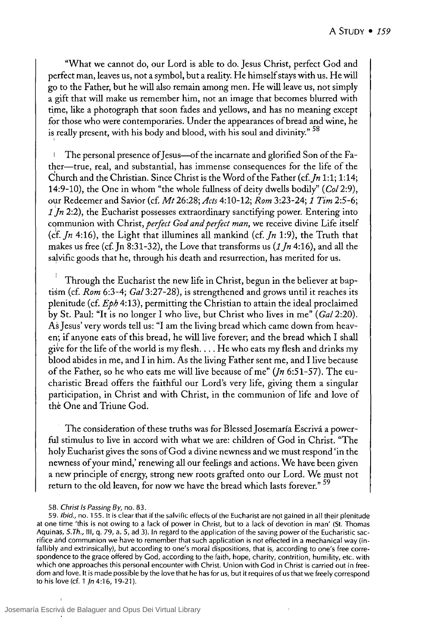"What we cannot do, our Lord is able to do. Jesus Christ, perfect God and perfect man, leaves us, not a symbol, but a reality. He himself stays with us. He will go to the Father, but he will also remain among men. He willleave us, not simply a gift that will make us remember him, not an image that becomes blurred with time, like a photograph that soon fades and yellows, and has no meaning except for those who were contemporaries. Under the appearances of bread and wine, he is really present, with his body and blood, with his soul and divinity." <sup>58</sup>

The personal presence of Jesus—of the incarnate and glorified Son of the Fa- $\overline{\phantom{a}}$ ther—true, real, and substantial, has immense consequences for the life of the Church and the Christian. Since Christ is the Word ofthe Father *(cf.In* 1:1; 1:14; 14:9-10), the One in whom "the whole fullness of deity dwells bodily" *(Col 2:9),*  our Redeemer and Savior (cf. *Mt* 26:28; *Acts* 4:10-12; *Rom* 3:23-24; 1 *Tim 2:5-6;*  1 Jn 2:2), the Eucharist possesses extraordinary sanctifying power. Entering into communion with Christ, *perfect God and perfect man*, we receive divine Life itself (cf. *In* 4:16), the Light that illumines all mankind (cf. *In* 1:9), the Truth that makes us free (cf. Jn 8:31-32), the Love that transforms us (1 *In* 4:16), and al1 the salvific goods that he, through his death and resurrection, has merited for us.

Through the Eucharist the new life in Christ, begun in the believer at baptism (cf. *Rom* 6:3-4; *Cal* 3:27-28), is strengthened and grows until it reaches its plenitude (cf.  $Eph 4:13$ ), permitting the Christian to attain the ideal proclaimed by St. Paul: "It is no longer I who live, but Christ who lives in me" *(Gal 2:20)*. As Jesus' very words tell us: "1 am the living bread which carne down from heaven; if anyone eats of this bread, he will live forever; and the bread which I shall give for the life of the world is my flesh.... He who eats my flesh and drinks my blood abides in me, and 1 in him. As the living Father sent me, and 1 live because of the Father, so he who eats me willlive because of me" *(Jn* 6:51-57). The eucharistic Bread offers the faithful our Lord's very life, giving them a singular participation, in Christ and with Christ, in the communion of life and love of the One and Triune God.

The consideration of these truths was for BlessedJosemaría Escrivá a powerfuI stimulus to live in accord with what we are: children of God in Christ. "The holy Eucharist gives the sons of God a divine newness and we must respond 'in the newness of your mind,' renewing al1 our feelings and actions. We have been given a new principle of energy, strong new roots grafted onto our Lord. We must not return to the old leaven, for now we have the bread which lasts forever." <sup>59</sup>

I

59. Ibid., no. 155. It is clear that if the salvific effects of the Eucharist are not gained in all their plenitude at one time 'this is not owing to a lack of power in Christ, but to a lack of devotion in man' (St. Thomas Aquinas, *S. Th.,* 111, q. 79, a. 5, ad 3). In regard to the application of the saving power of the Eucharistic sacrifice arid communion we have to remember that such application is not effected in a mechanical way (infallibly and extrinsically), but according to one's moral dispositions, that is, according to one's free correspondence to the grace offered by Cod, according to the faith, hope, charity, contrition, humility, etc. with which one approaches this personal encounter with Christ. Union with Cod in Christ is carried out in freedom and love. It is made possible by the love that he has for us, but it requires of us that we freely correspond to his love (d. 1 *in* 4:16, 19-21).

<sup>58.</sup> Christ Is Passing *By,* no. 83.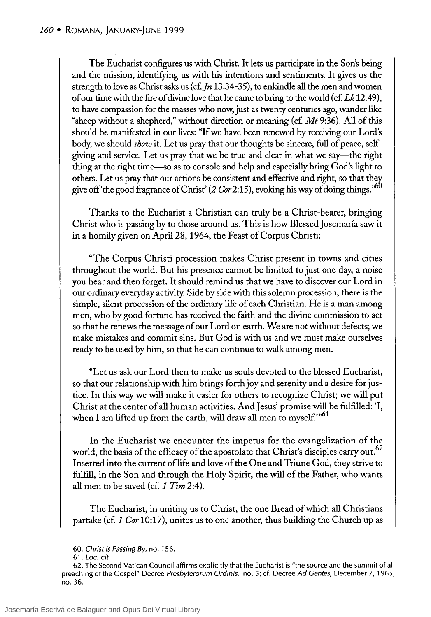The Eucharist configures us with Christ. It lets us participate in the Son's being and the mission, identifying us with his intentions and sentiments. It gives us the strength to love as Christ asks us (cf. *Jn* 13:34-35), to enkindle all the men and women of our time with the fue of divinelove that he carne to bring to the world (cf. *Lk 12:49),*  to have compassion for the masses who now, just as twenty centuries ago, wander like "sheep without a shepherd," without direction or meaning (cf.  $Mt$  9:36). All of this should be manifested in our lives: "lf we have been renewed by receiving our Lord's body, we should *show* it. Let us pray that our thoughts be sincere, full of peace, selfgiving and service. Let us pray that we be true and c1ear in what we say-the right thing at the right time-so as to console and he1p and especially bring God's light to others. Let us pray that our actions be consistent and effective and right, so that they give off 'the good fragrance of Christ' (2 *Cor* 2:15), evoking his way of doing things."<sup>60</sup>

Thanks to the Eucharist a Christian can truly be a Christ-bearer, bringing Christ who is passing by to those around us. This is how Blessed Josemaría saw it in a homily given on April28, 1964, the Feast of Corpus Christi:

"The Corpus Christi procession makes Christ present in towns and cities throughout the world. But his presence cannot be limited to just one day, a noise you hear and then forget. It should remind us that we have to discover our Lord in our ordinary everyday activity. Side by side with this solemn procession, there is the simple, silent procession of the ordinary life of each Christian. He is aman among men, who by good fortune has received the faith and the divine commission to act so that he renews the message of our Lord on earth. We are not without defects; we make mistakes and commit sins. But God is with us and we must make ourselves ready to be used by him, so that he can continue to walk among men.

"Let us ask our Lord then to make us souls devoted to the blessed Eucharist, so that our relationship with him brings forth joy and serenity and a desire for justice. In this way we will make it easier for others to recognize Christ; we will put Christ at the center of all human activities. And Jesus' promise will be fulfilled: 'I, when I am lifted up from the earth, will draw all men to myself." $61$ 

In the Eucharist we encounter the impetus for the evangelization of the world, the basis of the efficacy of the apostolate that Christ's disciples carry out.<sup>62</sup> lnserted into the current oflife and love of the One and Triune God, they strive to fulfill, in the Son and through the Holy Spirit, the will of the Father, who wants all men to be saved (cf. 1 *Tim 2:4).* 

The Eucharist, in uniting us to Christ, the one Bread of which all Christians partake (cf. 1 *Cor* 10:17), urutes us to one another, thus building the Church up as

<sup>60.</sup> Christ /5 Passing By, no. 156.

<sup>61.</sup> Loe. *cit.* 

<sup>62.</sup> The Second Vatican Council affirms explicitly that the Eucharist is "the source and the summit of al! preaching of the Gospel" Decree Presbyterorum Ordinis, no. 5; cf. Decree Ad Gentes, December 7, 1965, no. 36.